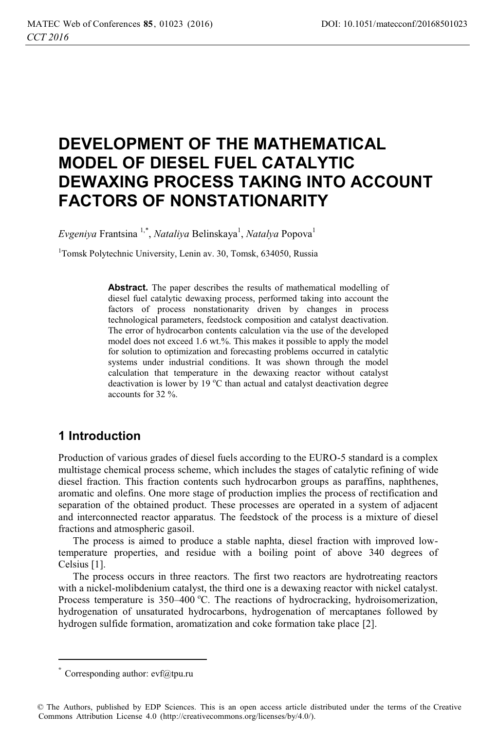# **DEVELOPMENT OF THE MATHEMATICAL MODEL OF DIESEL FUEL CATALYTIC DEWAXING PROCESS TAKING INTO ACCOUNT FACTORS OF NONSTATIONARITY**

*Evgeniya* Frantsina <sup>1,\*</sup>, *Nataliya* Belinskaya<sup>1</sup>, *Natalya* Popova<sup>1</sup>

1 Tomsk Polytechnic University, Lenin av. 30, Tomsk, 634050, Russia

**Abstract.** The paper describes the results of mathematical modelling of diesel fuel catalytic dewaxing process, performed taking into account the factors of process nonstationarity driven by changes in process technological parameters, feedstock composition and catalyst deactivation. The error of hydrocarbon contents calculation via the use of the developed model does not exceed 1.6 wt.%. This makes it possible to apply the model for solution to optimization and forecasting problems occurred in catalytic systems under industrial conditions. It was shown through the model calculation that temperature in the dewaxing reactor without catalyst deactivation is lower by 19 °C than actual and catalyst deactivation degree accounts for 32 %.

## **1 Introduction**

Production of various grades of diesel fuels according to the EURO-5 standard is a complex multistage chemical process scheme, which includes the stages of catalytic refining of wide diesel fraction. This fraction contents such hydrocarbon groups as paraffins, naphthenes, aromatic and olefins. One more stage of production implies the process of rectification and separation of the obtained product. These processes are operated in a system of adjacent and interconnected reactor apparatus. The feedstock of the process is a mixture of diesel fractions and atmospheric gasoil.

The process is aimed to produce a stable naphta, diesel fraction with improved lowtemperature properties, and residue with a boiling point of above 340 degrees of Celsius [1].

The process occurs in three reactors. The first two reactors are hydrotreating reactors with a nickel-molibdenium catalyst, the third one is a dewaxing reactor with nickel catalyst. Process temperature is 350-400 °C. The reactions of hydrocracking, hydroisomerization, hydrogenation of unsaturated hydrocarbons, hydrogenation of mercaptanes followed by hydrogen sulfide formation, aromatization and coke formation take place [2].

ı

 $*$  Corresponding author: evf@tpu.ru

<sup>©</sup> The Authors, published by EDP Sciences. This is an open access article distributed under the terms of the Creative Commons Attribution License 4.0 (http://creativecommons.org/licenses/by/4.0/).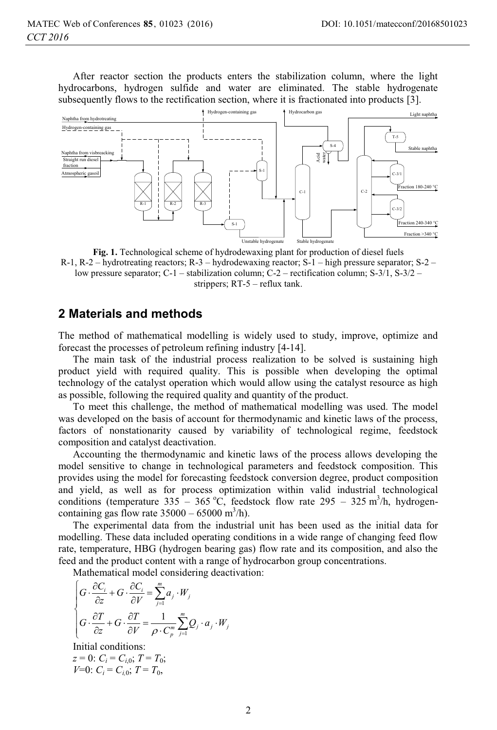After reactor section the products enters the stabilization column, where the light hydrocarbons, hydrogen sulfide and water are eliminated. The stable hydrogenate subsequently flows to the rectification section, where it is fractionated into products [3].



**Fig. 1.** Technological scheme of hydrodewaxing plant for production of diesel fuels R-1, R-2 – hydrotreating reactors; R-3 – hydrodewaxing reactor; S-1 – high pressure separator; S-2 – low pressure separator; C-1 – stabilization column; C-2 – rectification column; S-3/1, S-3/2 – strippers; RT-5 – reflux tank.

#### **2 Materials and methods**

The method of mathematical modelling is widely used to study, improve, optimize and forecast the processes of petroleum refining industry [4-14].

The main task of the industrial process realization to be solved is sustaining high product yield with required quality. This is possible when developing the optimal technology of the catalyst operation which would allow using the catalyst resource as high as possible, following the required quality and quantity of the product.

To meet this challenge, the method of mathematical modelling was used. The model was developed on the basis of account for thermodynamic and kinetic laws of the process, factors of nonstationarity caused by variability of technological regime, feedstock composition and catalyst deactivation.

Accounting the thermodynamic and kinetic laws of the process allows developing the model sensitive to change in technological parameters and feedstock composition. This provides using the model for forecasting feedstock conversion degree, product composition and yield, as well as for process optimization within valid industrial technological conditions (temperature 335 – 365 °C, feedstock flow rate 295 – 325 m<sup>3</sup>/h, hydrogencontaining gas flow rate  $35000 - 65000$  m<sup>3</sup>/h).

The experimental data from the industrial unit has been used as the initial data for modelling. These data included operating conditions in a wide range of changing feed flow rate, temperature, HBG (hydrogen bearing gas) flow rate and its composition, and also the feed and the product content with a range of hydrocarbon group concentrations.

Mathematical model considering deactivation:

$$
\begin{cases}\nG \cdot \frac{\partial C_i}{\partial z} + G \cdot \frac{\partial C_i}{\partial V} = \sum_{j=1}^m a_j \cdot W_j \\
G \cdot \frac{\partial T}{\partial z} + G \cdot \frac{\partial T}{\partial V} = \frac{1}{\rho \cdot C_p^m} \sum_{j=1}^m Q_j \cdot a_j \cdot W_j\n\end{cases}
$$

Initial conditions:

 $z = 0$ :  $C_i = C_{i,0}$ ;  $T = T_0$ ; *V*=0:  $C_i = C_{i,0}$ ;  $T = T_0$ ,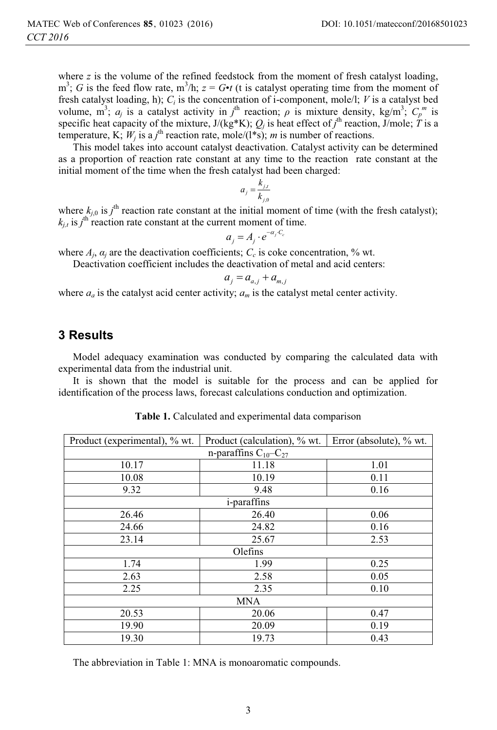where  $\bar{z}$  is the volume of the refined feedstock from the moment of fresh catalyst loading,  $m^3$ ; *G* is the feed flow rate,  $m^3/h$ ;  $z = G \cdot t$  (t is catalyst operating time from the moment of fresh catalyst loading, h); *Ci* is the concentration of i-component, mole/l; *V* is a catalyst bed volume, m<sup>3</sup>;  $a_j$  is a catalyst activity in  $j^{\text{th}}$  reaction;  $\rho$  is mixture density, kg/m<sup>3</sup>;  $C_p^m$  is specific heat capacity of the mixture,  $J/(kg*K)$ ;  $Q_j$  is heat effect of  $j<sup>th</sup>$  reaction,  $J/mole$ ;  $\hat{T}$  is a temperature, K;  $W_i$  is a  $j^{\text{th}}$  reaction rate, mole/(1<sup>\*</sup>s); *m* is number of reactions.

This model takes into account catalyst deactivation. Catalyst activity can be determined as a proportion of reaction rate constant at any time to the reaction rate constant at the initial moment of the time when the fresh catalyst had been charged:

$$
a_j = \frac{k_{j,t}}{k_{j,0}}
$$

where  $k_{j,0}$  is  $j^{\text{th}}$  reaction rate constant at the initial moment of time (with the fresh catalyst);  $k_{j,t}$  is  $j^{\text{th}}$  reaction rate constant at the current moment of time.

$$
a_i = A_i \cdot e^{-\alpha_i \cdot C_c}
$$

 $a_j = A_j \cdot e^{-\alpha_j \cdot C_e}$ <br>where  $A_j$ ,  $\alpha_j$  are the deactivation coefficients;  $C_c$  is coke concentration, % wt.

Deactivation coefficient includes the deactivation of metal and acid centers:

$$
a_j = a_{a,j} + a_{m,j}
$$

 $a_j = a_{a,j} + a_{m,j}$ <br>where  $a_a$  is the catalyst acid center activity;  $a_m$  is the catalyst metal center activity.

#### **3 Results**

Model adequacy examination was conducted by comparing the calculated data with experimental data from the industrial unit.

It is shown that the model is suitable for the process and can be applied for identification of the process laws, forecast calculations conduction and optimization.

| Product (experimental), % wt. | Product (calculation), % wt. | Error (absolute), % wt. |  |  |  |  |
|-------------------------------|------------------------------|-------------------------|--|--|--|--|
| n-paraffins $C_{10}-C_{27}$   |                              |                         |  |  |  |  |
| 10.17                         | 11.18                        | 1.01                    |  |  |  |  |
| 10.08                         | 10.19                        | 0.11                    |  |  |  |  |
| 9.32                          | 9.48                         | 0.16                    |  |  |  |  |
| <i>i</i> -paraffins           |                              |                         |  |  |  |  |
| 26.46                         | 26.40                        | 0.06                    |  |  |  |  |
| 24.66                         | 24.82                        | 0.16                    |  |  |  |  |
| 23.14                         | 25.67                        | 2.53                    |  |  |  |  |
| Olefins                       |                              |                         |  |  |  |  |
| 1.74                          | 1.99                         | 0.25                    |  |  |  |  |
| 2.63                          | 2.58                         | 0.05                    |  |  |  |  |
| 2.25                          | 2.35                         | 0.10                    |  |  |  |  |
| <b>MNA</b>                    |                              |                         |  |  |  |  |
| 20.53                         | 20.06                        | 0.47                    |  |  |  |  |
| 19.90                         | 20.09                        | 0.19                    |  |  |  |  |
| 19.30                         | 19.73                        | 0.43                    |  |  |  |  |

**Table 1.** Calculated and experimental data comparison

The abbreviation in Table 1: MNA is monoaromatic compounds.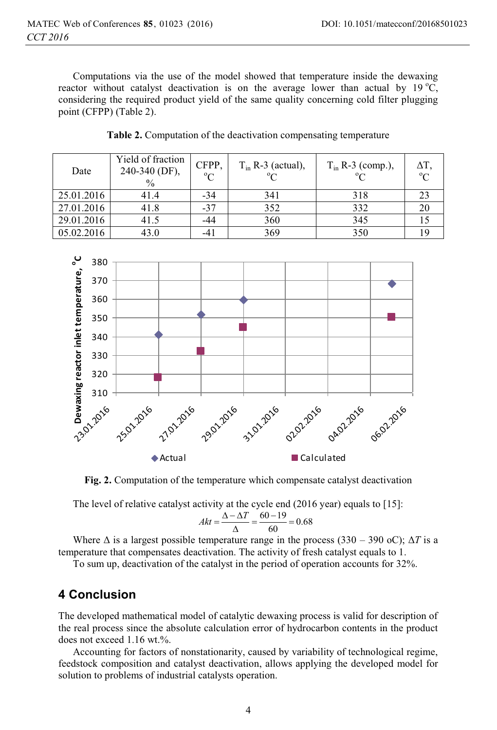Computations via the use of the model showed that temperature inside the dewaxing reactor without catalyst deactivation is on the average lower than actual by 19 °C, considering the required product yield of the same quality concerning cold filter plugging point (CFPP) (Table 2).

| Date       | Yield of fraction<br>240-340 (DF),<br>$\frac{0}{0}$ | CFPP,<br>$\rm ^{o}C$ | $T_{in}$ R-3 (actual),<br>$\Omega$ | $T_{in}$ R-3 (comp.), | $\Delta T$ ,<br>$\rm ^{o}C$ |
|------------|-----------------------------------------------------|----------------------|------------------------------------|-----------------------|-----------------------------|
| 25.01.2016 | 41.4                                                | $-34$                | 341                                | 318                   | 23                          |
| 27.01.2016 | 41.8                                                | $-37$                | 352                                | 332                   | 20                          |
| 29.01.2016 | 41.5                                                | -44                  | 360                                | 345                   |                             |
| 05.02.2016 | 43.0                                                |                      | 369                                | 350                   |                             |

**Table 2.** Computation of the deactivation compensating temperature



**Fig. 2.** Computation of the temperature which compensate catalyst deactivation

The level of relative catalyst activity at the cycle end (2016 year) equals to [15]:

$$
Akt = \frac{\Delta - \Delta T}{\Delta} = \frac{60 - 19}{60} = 0.68
$$

Where  $\Delta$  is a largest possible temperature range in the process (330 – 390 oC);  $\Delta T$  is a temperature that compensates deactivation. The activity of fresh catalyst equals to 1.

To sum up, deactivation of the catalyst in the period of operation accounts for 32%.

## **4 Conclusion**

The developed mathematical model of catalytic dewaxing process is valid for description of the real process since the absolute calculation error of hydrocarbon contents in the product does not exceed 1.16 wt.%.

Accounting for factors of nonstationarity, caused by variability of technological regime, feedstock composition and catalyst deactivation, allows applying the developed model for solution to problems of industrial catalysts operation.